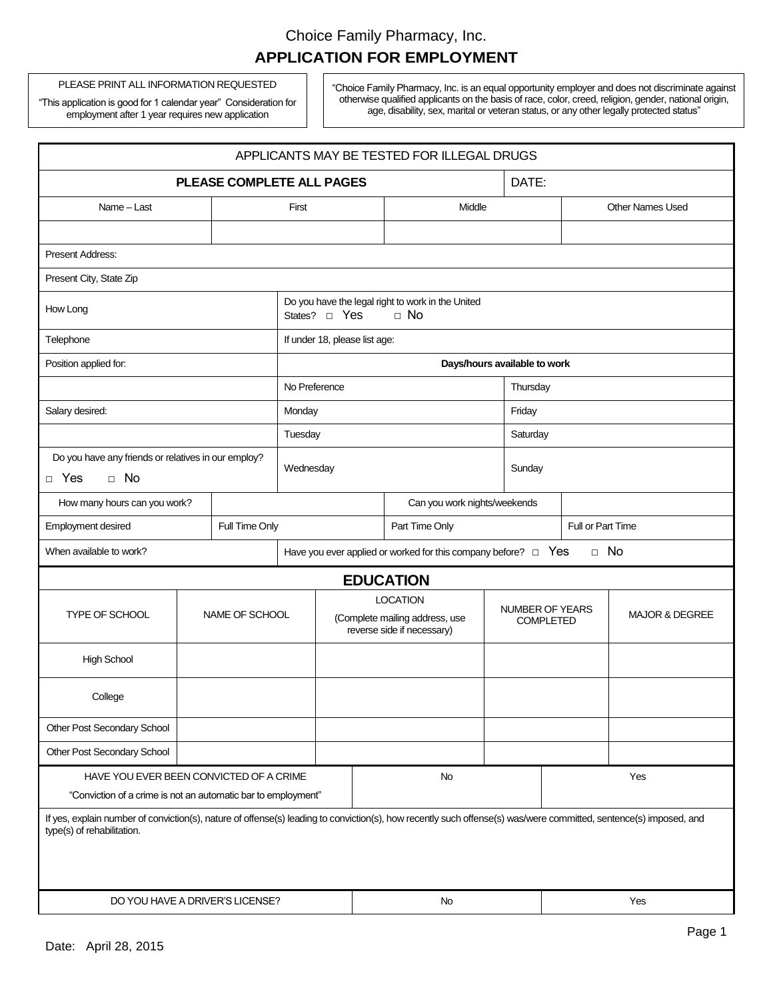PLEASE PRINT ALL INFORMATION REQUESTED

"This application is good for 1 calendar year" Consideration for employment after 1 year requires new application

"Choice Family Pharmacy, Inc. is an equal opportunity employer and does not discriminate against otherwise qualified applicants on the basis of race, color, creed, religion, gender, national origin, age, disability, sex, marital or veteran status, or any other legally protected status"

| APPLICANTS MAY BE TESTED FOR ILLEGAL DRUGS                                                                                                                                                      |                |                |                                                                                            |  |                                                                                 |                                     |                   |                           |                         |  |
|-------------------------------------------------------------------------------------------------------------------------------------------------------------------------------------------------|----------------|----------------|--------------------------------------------------------------------------------------------|--|---------------------------------------------------------------------------------|-------------------------------------|-------------------|---------------------------|-------------------------|--|
| PLEASE COMPLETE ALL PAGES                                                                                                                                                                       |                |                |                                                                                            |  |                                                                                 | DATE:                               |                   |                           |                         |  |
| Name - Last                                                                                                                                                                                     |                |                | First                                                                                      |  |                                                                                 | Middle                              |                   |                           | <b>Other Names Used</b> |  |
|                                                                                                                                                                                                 |                |                |                                                                                            |  |                                                                                 |                                     |                   |                           |                         |  |
| <b>Present Address:</b>                                                                                                                                                                         |                |                |                                                                                            |  |                                                                                 |                                     |                   |                           |                         |  |
| Present City, State Zip                                                                                                                                                                         |                |                |                                                                                            |  |                                                                                 |                                     |                   |                           |                         |  |
| How Long                                                                                                                                                                                        |                |                | Do you have the legal right to work in the United<br>States? <sub>D</sub> Yes<br>$\Box$ No |  |                                                                                 |                                     |                   |                           |                         |  |
| Telephone                                                                                                                                                                                       |                |                | If under 18, please list age:                                                              |  |                                                                                 |                                     |                   |                           |                         |  |
| Position applied for:                                                                                                                                                                           |                |                | Days/hours available to work                                                               |  |                                                                                 |                                     |                   |                           |                         |  |
|                                                                                                                                                                                                 |                |                | No Preference                                                                              |  |                                                                                 |                                     |                   | Thursday                  |                         |  |
| Salary desired:                                                                                                                                                                                 |                |                | Monday                                                                                     |  |                                                                                 | Friday                              |                   |                           |                         |  |
|                                                                                                                                                                                                 |                |                | Tuesday                                                                                    |  |                                                                                 |                                     |                   | Saturday                  |                         |  |
| Do you have any friends or relatives in our employ?<br>$\Box$ No<br>$\Box$ Yes                                                                                                                  |                |                | Wednesday                                                                                  |  |                                                                                 | Sunday                              |                   |                           |                         |  |
| How many hours can you work?                                                                                                                                                                    |                |                | Can you work nights/weekends                                                               |  |                                                                                 |                                     |                   |                           |                         |  |
| Employment desired                                                                                                                                                                              |                | Full Time Only | Part Time Only                                                                             |  |                                                                                 |                                     | Full or Part Time |                           |                         |  |
| When available to work?                                                                                                                                                                         |                |                | Have you ever applied or worked for this company before? $\Box$ Yes                        |  |                                                                                 |                                     | $\Box$ No         |                           |                         |  |
|                                                                                                                                                                                                 |                |                |                                                                                            |  |                                                                                 | <b>EDUCATION</b>                    |                   |                           |                         |  |
| TYPE OF SCHOOL                                                                                                                                                                                  | NAME OF SCHOOL |                |                                                                                            |  | <b>LOCATION</b><br>(Complete mailing address, use<br>reverse side if necessary) | NUMBER OF YEARS<br><b>COMPLETED</b> |                   | <b>MAJOR &amp; DEGREE</b> |                         |  |
| <b>High School</b>                                                                                                                                                                              |                |                |                                                                                            |  |                                                                                 |                                     |                   |                           |                         |  |
| College                                                                                                                                                                                         |                |                |                                                                                            |  |                                                                                 |                                     |                   |                           |                         |  |
| Other Post Secondary School                                                                                                                                                                     |                |                |                                                                                            |  |                                                                                 |                                     |                   |                           |                         |  |
| Other Post Secondary School                                                                                                                                                                     |                |                |                                                                                            |  |                                                                                 |                                     |                   |                           |                         |  |
| HAVE YOU EVER BEEN CONVICTED OF A CRIME                                                                                                                                                         |                |                |                                                                                            |  | No                                                                              |                                     |                   | Yes                       |                         |  |
| "Conviction of a crime is not an automatic bar to employment"                                                                                                                                   |                |                |                                                                                            |  |                                                                                 |                                     |                   |                           |                         |  |
| If yes, explain number of conviction(s), nature of offense(s) leading to conviction(s), how recently such offense(s) was/were committed, sentence(s) imposed, and<br>type(s) of rehabilitation. |                |                |                                                                                            |  |                                                                                 |                                     |                   |                           |                         |  |
| DO YOU HAVE A DRIVER'S LICENSE?                                                                                                                                                                 |                |                |                                                                                            |  | No                                                                              |                                     | Yes               |                           |                         |  |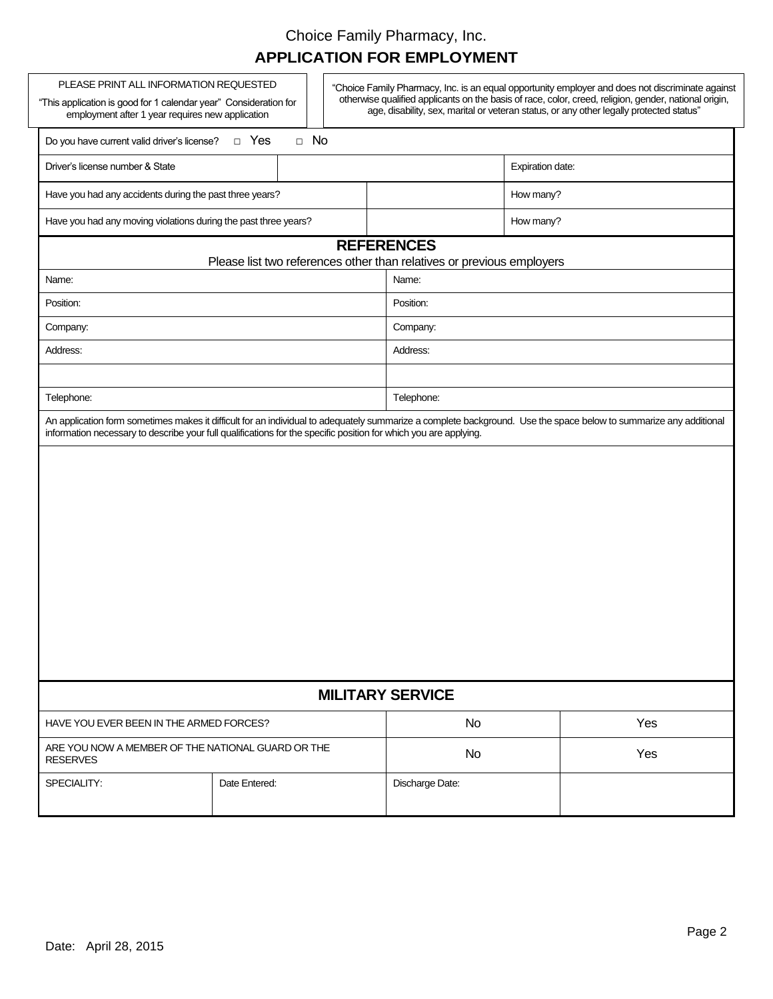| PLEASE PRINT ALL INFORMATION REQUESTED<br>"Choice Family Pharmacy, Inc. is an equal opportunity employer and does not discriminate against<br>otherwise qualified applicants on the basis of race, color, creed, religion, gender, national origin,<br>"This application is good for 1 calendar year" Consideration for<br>age, disability, sex, marital or veteran status, or any other legally protected status"<br>employment after 1 year requires new application |                                                                                            |  |                 |                  |  |  |  |  |
|------------------------------------------------------------------------------------------------------------------------------------------------------------------------------------------------------------------------------------------------------------------------------------------------------------------------------------------------------------------------------------------------------------------------------------------------------------------------|--------------------------------------------------------------------------------------------|--|-----------------|------------------|--|--|--|--|
| $\Box$ No<br>D Yes<br>Do you have current valid driver's license?                                                                                                                                                                                                                                                                                                                                                                                                      |                                                                                            |  |                 |                  |  |  |  |  |
| Driver's license number & State                                                                                                                                                                                                                                                                                                                                                                                                                                        |                                                                                            |  |                 | Expiration date: |  |  |  |  |
| Have you had any accidents during the past three years?                                                                                                                                                                                                                                                                                                                                                                                                                |                                                                                            |  | How many?       |                  |  |  |  |  |
| Have you had any moving violations during the past three years?                                                                                                                                                                                                                                                                                                                                                                                                        |                                                                                            |  |                 | How many?        |  |  |  |  |
|                                                                                                                                                                                                                                                                                                                                                                                                                                                                        | <b>REFERENCES</b><br>Please list two references other than relatives or previous employers |  |                 |                  |  |  |  |  |
| Name:                                                                                                                                                                                                                                                                                                                                                                                                                                                                  |                                                                                            |  | Name:           |                  |  |  |  |  |
| Position:                                                                                                                                                                                                                                                                                                                                                                                                                                                              |                                                                                            |  | Position:       |                  |  |  |  |  |
| Company:                                                                                                                                                                                                                                                                                                                                                                                                                                                               |                                                                                            |  | Company:        |                  |  |  |  |  |
| Address:                                                                                                                                                                                                                                                                                                                                                                                                                                                               |                                                                                            |  | Address:        |                  |  |  |  |  |
|                                                                                                                                                                                                                                                                                                                                                                                                                                                                        |                                                                                            |  |                 |                  |  |  |  |  |
| Telephone:                                                                                                                                                                                                                                                                                                                                                                                                                                                             |                                                                                            |  | Telephone:      |                  |  |  |  |  |
|                                                                                                                                                                                                                                                                                                                                                                                                                                                                        |                                                                                            |  |                 |                  |  |  |  |  |
| <b>MILITARY SERVICE</b>                                                                                                                                                                                                                                                                                                                                                                                                                                                |                                                                                            |  |                 |                  |  |  |  |  |
| HAVE YOU EVER BEEN IN THE ARMED FORCES?                                                                                                                                                                                                                                                                                                                                                                                                                                |                                                                                            |  | <b>No</b>       | Yes              |  |  |  |  |
| ARE YOU NOW A MEMBER OF THE NATIONAL GUARD OR THE<br><b>RESERVES</b>                                                                                                                                                                                                                                                                                                                                                                                                   |                                                                                            |  | <b>No</b>       | Yes              |  |  |  |  |
| SPECIALITY:                                                                                                                                                                                                                                                                                                                                                                                                                                                            | Date Entered:                                                                              |  | Discharge Date: |                  |  |  |  |  |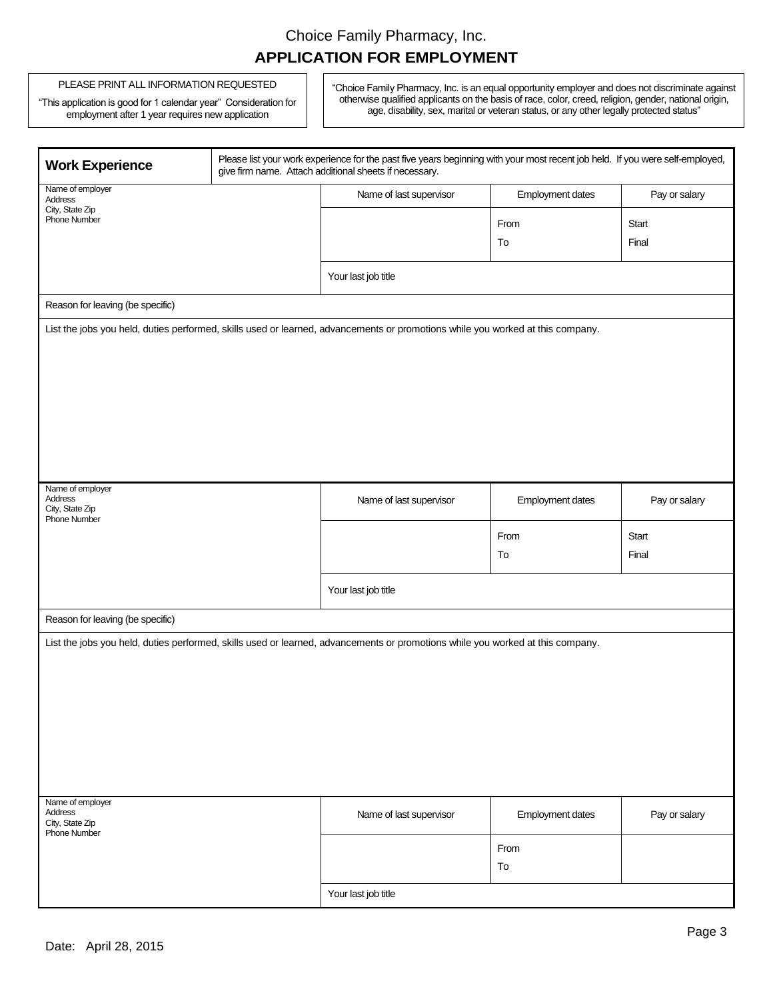#### PLEASE PRINT ALL INFORMATION REQUESTED

"This application is good for 1 calendar year" Consideration for employment after 1 year requires new application

"Choice Family Pharmacy, Inc. is an equal opportunity employer and does not discriminate against otherwise qualified applicants on the basis of race, color, creed, religion, gender, national origin, age, disability, sex, marital or veteran status, or any other legally protected status"

| <b>Work Experience</b>                                                |                 | Please list your work experience for the past five years beginning with your most recent job held. If you were self-employed,<br>give firm name. Attach additional sheets if necessary. |                  |                |  |  |  |
|-----------------------------------------------------------------------|-----------------|-----------------------------------------------------------------------------------------------------------------------------------------------------------------------------------------|------------------|----------------|--|--|--|
| Name of employer<br>Address                                           |                 | Name of last supervisor                                                                                                                                                                 | Employment dates | Pay or salary  |  |  |  |
| <b>Phone Number</b>                                                   | City, State Zip |                                                                                                                                                                                         | From             | Start          |  |  |  |
|                                                                       |                 |                                                                                                                                                                                         | To               | Final          |  |  |  |
|                                                                       |                 | Your last job title                                                                                                                                                                     |                  |                |  |  |  |
| Reason for leaving (be specific)                                      |                 |                                                                                                                                                                                         |                  |                |  |  |  |
|                                                                       |                 | List the jobs you held, duties performed, skills used or learned, advancements or promotions while you worked at this company.                                                          |                  |                |  |  |  |
| Name of employer<br>Address<br>City, State Zip<br><b>Phone Number</b> |                 | Name of last supervisor                                                                                                                                                                 | Employment dates | Pay or salary  |  |  |  |
|                                                                       |                 |                                                                                                                                                                                         | From<br>To       | Start<br>Final |  |  |  |
|                                                                       |                 | Your last job title                                                                                                                                                                     |                  |                |  |  |  |
| Reason for leaving (be specific)                                      |                 |                                                                                                                                                                                         |                  |                |  |  |  |
|                                                                       |                 | List the jobs you held, duties performed, skills used or learned, advancements or promotions while you worked at this company.                                                          |                  |                |  |  |  |
| Name of employer<br>Address<br>City, State Zip<br><b>Phone Number</b> |                 | Name of last supervisor                                                                                                                                                                 | Employment dates | Pay or salary  |  |  |  |
|                                                                       |                 |                                                                                                                                                                                         | From             |                |  |  |  |
|                                                                       |                 |                                                                                                                                                                                         | To               |                |  |  |  |